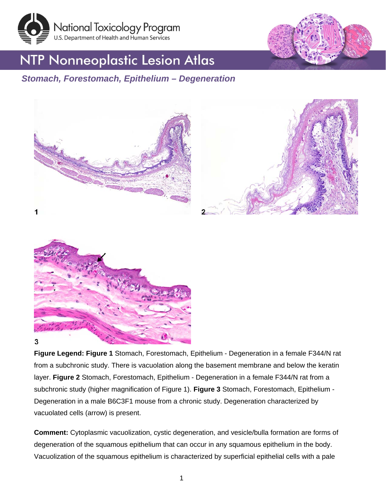



## **NTP Nonneoplastic Lesion Atlas**

## *Stomach, Forestomach, Epithelium – Degeneration*





**Figure Legend: Figure 1** Stomach, Forestomach, Epithelium - Degeneration in a female F344/N rat from a subchronic study. There is vacuolation along the basement membrane and below the keratin layer. **Figure 2** Stomach, Forestomach, Epithelium - Degeneration in a female F344/N rat from a subchronic study (higher magnification of Figure 1). **Figure 3** Stomach, Forestomach, Epithelium - Degeneration in a male B6C3F1 mouse from a chronic study. Degeneration characterized by vacuolated cells (arrow) is present.

**Comment:** Cytoplasmic vacuolization, cystic degeneration, and vesicle/bulla formation are forms of degeneration of the squamous epithelium that can occur in any squamous epithelium in the body. Vacuolization of the squamous epithelium is characterized by superficial epithelial cells with a pale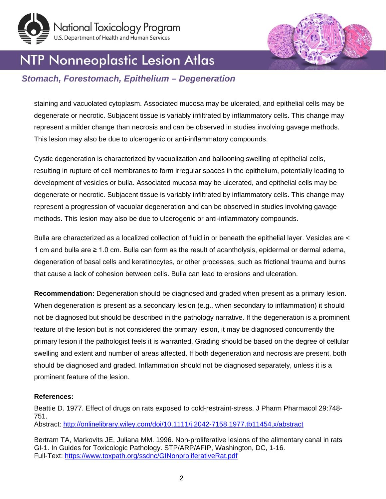



# NTP Nonneoplastic Lesion Atlas

### *Stomach, Forestomach, Epithelium – Degeneration*

staining and vacuolated cytoplasm. Associated mucosa may be ulcerated, and epithelial cells may be degenerate or necrotic. Subjacent tissue is variably infiltrated by inflammatory cells. This change may represent a milder change than necrosis and can be observed in studies involving gavage methods. This lesion may also be due to ulcerogenic or anti-inflammatory compounds.

Cystic degeneration is characterized by vacuolization and ballooning swelling of epithelial cells, resulting in rupture of cell membranes to form irregular spaces in the epithelium, potentially leading to development of vesicles or bulla. Associated mucosa may be ulcerated, and epithelial cells may be degenerate or necrotic. Subjacent tissue is variably infiltrated by inflammatory cells. This change may represent a progression of vacuolar degeneration and can be observed in studies involving gavage methods. This lesion may also be due to ulcerogenic or anti-inflammatory compounds.

Bulla are characterized as a localized collection of fluid in or beneath the epithelial layer. Vesicles are < 1 cm and bulla are ≥ 1.0 cm. Bulla can form as the result of acantholysis, epidermal or dermal edema, degeneration of basal cells and keratinocytes, or other processes, such as frictional trauma and burns that cause a lack of cohesion between cells. Bulla can lead to erosions and ulceration.

**Recommendation:** Degeneration should be diagnosed and graded when present as a primary lesion. When degeneration is present as a secondary lesion (e.g., when secondary to inflammation) it should not be diagnosed but should be described in the pathology narrative. If the degeneration is a prominent feature of the lesion but is not considered the primary lesion, it may be diagnosed concurrently the primary lesion if the pathologist feels it is warranted. Grading should be based on the degree of cellular swelling and extent and number of areas affected. If both degeneration and necrosis are present, both should be diagnosed and graded. Inflammation should not be diagnosed separately, unless it is a prominent feature of the lesion.

#### **References:**

Beattie D. 1977. Effect of drugs on rats exposed to cold-restraint-stress. J Pharm Pharmacol 29:748- 751. Abstract:<http://onlinelibrary.wiley.com/doi/10.1111/j.2042-7158.1977.tb11454.x/abstract>

Bertram TA, Markovits JE, Juliana MM. 1996. Non-proliferative lesions of the alimentary canal in rats GI-1. In Guides for Toxicologic Pathology. STP/ARP/AFIP, Washington, DC, 1-16. Full-Text:<https://www.toxpath.org/ssdnc/GINonproliferativeRat.pdf>